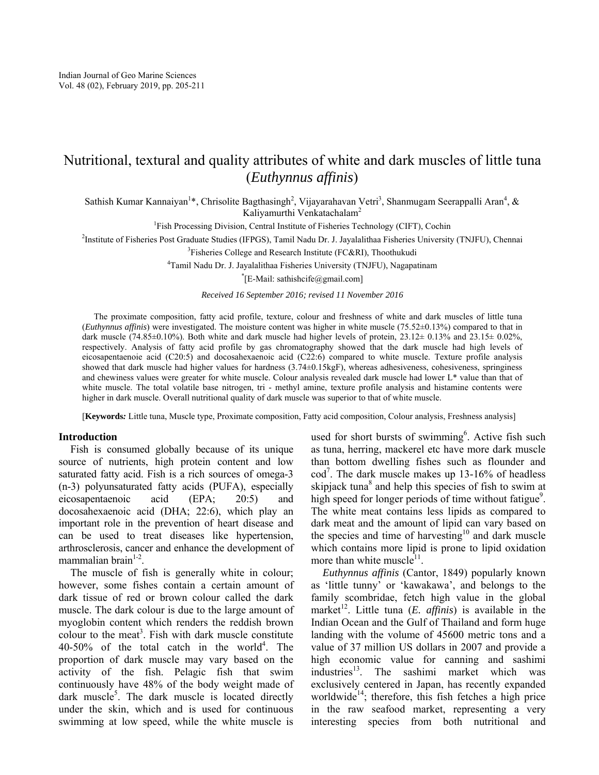# Nutritional, textural and quality attributes of white and dark muscles of little tuna (*Euthynnus affinis*)

Sathish Kumar Kannaiyan<sup>1\*</sup>, Chrisolite Bagthasingh<sup>2</sup>, Vijayarahavan Vetri<sup>3</sup>, Shanmugam Seerappalli Aran<sup>4</sup>, & Kaliyamurthi Venkatachalam<sup>2</sup>

<sup>1</sup>Fish Processing Division, Central Institute of Fisheries Technology (CIFT), Cochin

2 Institute of Fisheries Post Graduate Studies (IFPGS), Tamil Nadu Dr. J. Jayalalithaa Fisheries University (TNJFU), Chennai

<sup>3</sup>Fisheries College and Research Institute (FC&RI), Thoothukudi

<sup>4</sup>Tamil Nadu Dr. J. Jayalalithaa Fisheries University (TNJFU), Nagapatinam

\* [E-Mail: sathishcife@gmail.com]

*Received 16 September 2016; revised 11 November 2016* 

The proximate composition, fatty acid profile, texture, colour and freshness of white and dark muscles of little tuna (*Euthynnus affinis*) were investigated. The moisture content was higher in white muscle (75.52±0.13%) compared to that in dark muscle (74.85±0.10%). Both white and dark muscle had higher levels of protein, 23.12± 0.13% and 23.15± 0.02%, respectively. Analysis of fatty acid profile by gas chromatography showed that the dark muscle had high levels of eicosapentaenoie acid (C20:5) and docosahexaenoic acid (C22:6) compared to white muscle. Texture profile analysis showed that dark muscle had higher values for hardness (3.74±0.15kgF), whereas adhesiveness, cohesiveness, springiness and chewiness values were greater for white muscle. Colour analysis revealed dark muscle had lower L\* value than that of white muscle. The total volatile base nitrogen, tri - methyl amine, texture profile analysis and histamine contents were higher in dark muscle. Overall nutritional quality of dark muscle was superior to that of white muscle.

[**Keywords***:* Little tuna, Muscle type, Proximate composition, Fatty acid composition, Colour analysis, Freshness analysis]

# **Introduction**

Fish is consumed globally because of its unique source of nutrients, high protein content and low saturated fatty acid. Fish is a rich sources of omega-3 (n-3) polyunsaturated fatty acids (PUFA), especially eicosapentaenoic acid (EPA; 20:5) and docosahexaenoic acid (DHA; 22:6), which play an important role in the prevention of heart disease and can be used to treat diseases like hypertension, arthrosclerosis, cancer and enhance the development of mammalian brain $1-2$ .

The muscle of fish is generally white in colour; however, some fishes contain a certain amount of dark tissue of red or brown colour called the dark muscle. The dark colour is due to the large amount of myoglobin content which renders the reddish brown colour to the meat<sup>3</sup>. Fish with dark muscle constitute  $40-50\%$  of the total catch in the world<sup>4</sup>. The proportion of dark muscle may vary based on the activity of the fish. Pelagic fish that swim continuously have 48% of the body weight made of dark muscle<sup>5</sup>. The dark muscle is located directly under the skin, which and is used for continuous swimming at low speed, while the white muscle is

used for short bursts of swimming<sup>6</sup>. Active fish such as tuna, herring, mackerel etc have more dark muscle than bottom dwelling fishes such as flounder and cod<sup>7</sup> . The dark muscle makes up 13-16% of headless skipjack tuna<sup>8</sup> and help this species of fish to swim at high speed for longer periods of time without fatigue<sup>9</sup>. The white meat contains less lipids as compared to dark meat and the amount of lipid can vary based on the species and time of harvesting<sup>10</sup> and dark muscle which contains more lipid is prone to lipid oxidation more than white muscle $1$ <sup>1</sup>.

*Euthynnus affinis* (Cantor, 1849) popularly known as 'little tunny' or 'kawakawa', and belongs to the family scombridae, fetch high value in the global market<sup>12</sup>. Little tuna (*E. affinis*) is available in the Indian Ocean and the Gulf of Thailand and form huge landing with the volume of 45600 metric tons and a value of 37 million US dollars in 2007 and provide a high economic value for canning and sashimi industries<sup>13</sup>. The sashimi market which was exclusively centered in Japan, has recently expanded worldwide<sup>14</sup>; therefore, this fish fetches a high price in the raw seafood market, representing a very interesting species from both nutritional and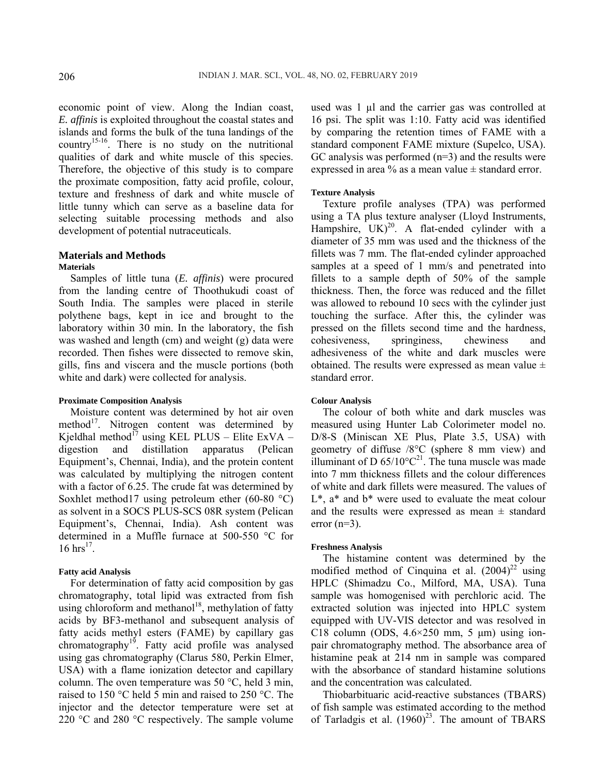economic point of view. Along the Indian coast, *E. affinis* is exploited throughout the coastal states and islands and forms the bulk of the tuna landings of the country<sup>15-16</sup>. There is no study on the nutritional qualities of dark and white muscle of this species. Therefore, the objective of this study is to compare the proximate composition, fatty acid profile, colour, texture and freshness of dark and white muscle of little tunny which can serve as a baseline data for selecting suitable processing methods and also development of potential nutraceuticals.

# **Materials and Methods Materials**

Samples of little tuna (*E. affinis*) were procured from the landing centre of Thoothukudi coast of South India. The samples were placed in sterile polythene bags, kept in ice and brought to the laboratory within 30 min. In the laboratory, the fish was washed and length (cm) and weight (g) data were recorded. Then fishes were dissected to remove skin, gills, fins and viscera and the muscle portions (both white and dark) were collected for analysis.

### **Proximate Composition Analysis**

Moisture content was determined by hot air oven method $^{17}$ . Nitrogen content was determined by Kjeldhal method $^{17}$  using KEL PLUS – Elite ExVA – digestion and distillation apparatus (Pelican Equipment's, Chennai, India), and the protein content was calculated by multiplying the nitrogen content with a factor of 6.25. The crude fat was determined by Soxhlet method17 using petroleum ether  $(60-80 \degree C)$ as solvent in a SOCS PLUS-SCS 08R system (Pelican Equipment's, Chennai, India). Ash content was determined in a Muffle furnace at 500-550 °C for  $16 \, \text{hrs}^{17}$ .

### **Fatty acid Analysis**

For determination of fatty acid composition by gas chromatography, total lipid was extracted from fish using chloroform and methanol<sup>18</sup>, methylation of fatty acids by BF3-methanol and subsequent analysis of fatty acids methyl esters (FAME) by capillary gas chromatography<sup>19</sup>. Fatty acid profile was analysed using gas chromatography (Clarus 580, Perkin Elmer, USA) with a flame ionization detector and capillary column. The oven temperature was 50 °C, held 3 min, raised to 150 °C held 5 min and raised to 250 °C. The injector and the detector temperature were set at 220 °C and 280 °C respectively. The sample volume

used was 1 µl and the carrier gas was controlled at 16 psi. The split was 1:10. Fatty acid was identified by comparing the retention times of FAME with a standard component FAME mixture (Supelco, USA). GC analysis was performed  $(n=3)$  and the results were expressed in area % as a mean value  $\pm$  standard error.

### **Texture Analysis**

Texture profile analyses (TPA) was performed using a TA plus texture analyser (Lloyd Instruments, Hampshire,  $UK)^{20}$ . A flat-ended cylinder with a diameter of 35 mm was used and the thickness of the fillets was 7 mm. The flat-ended cylinder approached samples at a speed of 1 mm/s and penetrated into fillets to a sample depth of 50% of the sample thickness. Then, the force was reduced and the fillet was allowed to rebound 10 secs with the cylinder just touching the surface. After this, the cylinder was pressed on the fillets second time and the hardness, cohesiveness, springiness, chewiness and adhesiveness of the white and dark muscles were obtained. The results were expressed as mean value  $\pm$ standard error.

#### **Colour Analysis**

The colour of both white and dark muscles was measured using Hunter Lab Colorimeter model no. D/8-S (Miniscan XE Plus, Plate 3.5, USA) with geometry of diffuse /8°C (sphere 8 mm view) and illuminant of D  $65/10^{\circ}C^{21}$ . The tuna muscle was made into 7 mm thickness fillets and the colour differences of white and dark fillets were measured. The values of  $L^*$ , a<sup>\*</sup> and  $b^*$  were used to evaluate the meat colour and the results were expressed as mean  $\pm$  standard error  $(n=3)$ .

### **Freshness Analysis**

The histamine content was determined by the modified method of Cinquina et al.  $(2004)^{22}$  using HPLC (Shimadzu Co., Milford, MA, USA). Tuna sample was homogenised with perchloric acid. The extracted solution was injected into HPLC system equipped with UV-VIS detector and was resolved in C18 column (ODS,  $4.6 \times 250$  mm, 5  $\mu$ m) using ionpair chromatography method. The absorbance area of histamine peak at 214 nm in sample was compared with the absorbance of standard histamine solutions and the concentration was calculated.

Thiobarbituaric acid-reactive substances (TBARS) of fish sample was estimated according to the method of Tarladgis et al.  $(1960)^{23}$ . The amount of TBARS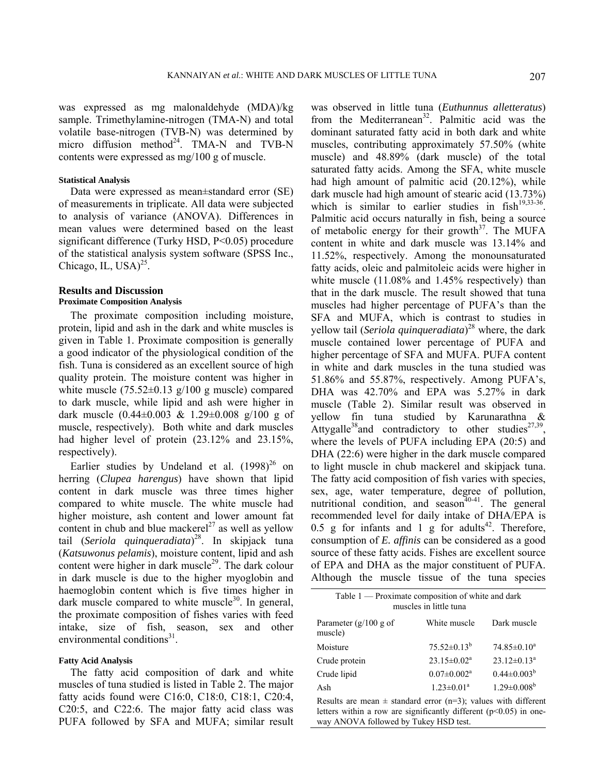was expressed as mg malonaldehyde (MDA)/kg sample. Trimethylamine-nitrogen (TMA-N) and total volatile base-nitrogen (TVB-N) was determined by micro diffusion method<sup>24</sup>. TMA-N and TVB-N contents were expressed as mg/100 g of muscle.

### **Statistical Analysis**

Data were expressed as mean±standard error (SE) of measurements in triplicate. All data were subjected to analysis of variance (ANOVA). Differences in mean values were determined based on the least significant difference (Turky HSD, P<0.05) procedure of the statistical analysis system software (SPSS Inc., Chicago, IL,  $USA)^{25}$ .

# **Results and Discussion**

# **Proximate Composition Analysis**

The proximate composition including moisture, protein, lipid and ash in the dark and white muscles is given in Table 1. Proximate composition is generally a good indicator of the physiological condition of the fish. Tuna is considered as an excellent source of high quality protein. The moisture content was higher in white muscle  $(75.52\pm0.13 \text{ g}/100 \text{ g} \text{ muscle})$  compared to dark muscle, while lipid and ash were higher in dark muscle  $(0.44\pm0.003 \& 1.29\pm0.008 \text{ g}/100 \text{ g of}$ muscle, respectively). Both white and dark muscles had higher level of protein (23.12% and 23.15%, respectively).

Earlier studies by Undeland et al.  $(1998)^{26}$  on herring (*Clupea harengus*) have shown that lipid content in dark muscle was three times higher compared to white muscle. The white muscle had higher moisture, ash content and lower amount fat content in chub and blue mackerel $^{27}$  as well as yellow tail (*Seriola quinqueradiata*) 28. In skipjack tuna (*Katsuwonus pelamis*), moisture content, lipid and ash content were higher in dark muscle<sup>29</sup>. The dark colour in dark muscle is due to the higher myoglobin and haemoglobin content which is five times higher in dark muscle compared to white muscle $30$ . In general, the proximate composition of fishes varies with feed intake, size of fish, season, sex and other environmental conditions $31$ .

## **Fatty Acid Analysis**

The fatty acid composition of dark and white muscles of tuna studied is listed in Table 2. The major fatty acids found were C16:0, C18:0, C18:1, C20:4, C20:5, and C22:6. The major fatty acid class was PUFA followed by SFA and MUFA; similar result

was observed in little tuna (*Euthunnus alletteratus*) from the Mediterranean<sup>32</sup>. Palmitic acid was the dominant saturated fatty acid in both dark and white muscles, contributing approximately 57.50% (white muscle) and 48.89% (dark muscle) of the total saturated fatty acids. Among the SFA, white muscle had high amount of palmitic acid (20.12%), while dark muscle had high amount of stearic acid (13.73%) which is similar to earlier studies in  $fish^{19,33-36}$ . Palmitic acid occurs naturally in fish, being a source of metabolic energy for their growth $3^7$ . The MUFA content in white and dark muscle was 13.14% and 11.52%, respectively. Among the monounsaturated fatty acids, oleic and palmitoleic acids were higher in white muscle (11.08% and 1.45% respectively) than that in the dark muscle. The result showed that tuna muscles had higher percentage of PUFA's than the SFA and MUFA, which is contrast to studies in yellow tail (*Seriola quinqueradiata*) 28 where, the dark muscle contained lower percentage of PUFA and higher percentage of SFA and MUFA. PUFA content in white and dark muscles in the tuna studied was 51.86% and 55.87%, respectively. Among PUFA's, DHA was 42.70% and EPA was 5.27% in dark muscle (Table 2). Similar result was observed in yellow fin tuna studied by Karunarathna & Attygalle<sup>38</sup>and contradictory to other studies<sup>27,39</sup>, where the levels of PUFA including EPA (20:5) and DHA (22:6) were higher in the dark muscle compared to light muscle in chub mackerel and skipjack tuna. The fatty acid composition of fish varies with species, sex, age, water temperature, degree of pollution, nutritional condition, and season $40-41$ . The general recommended level for daily intake of DHA/EPA is 0.5 g for infants and 1 g for adults<sup>42</sup>. Therefore, consumption of *E. affinis* can be considered as a good source of these fatty acids. Fishes are excellent source of EPA and DHA as the major constituent of PUFA. Although the muscle tissue of the tuna species

| Table 1 — Proximate composition of white and dark<br>muscles in little tuna |                               |                    |  |  |  |  |
|-----------------------------------------------------------------------------|-------------------------------|--------------------|--|--|--|--|
| Parameter $(g/100 g)$ of<br>muscle)                                         | White muscle                  | Dark muscle        |  |  |  |  |
| Moisture                                                                    | $75.52 \pm 0.13^b$            | $74.85 \pm 0.10^a$ |  |  |  |  |
| Crude protein                                                               | $23.15 \pm 0.02^a$            | $23.12 \pm 0.13^a$ |  |  |  |  |
| Crude lipid                                                                 | $0.07 \pm 0.002$ <sup>a</sup> | $0.44 \pm 0.003^b$ |  |  |  |  |
| Ash                                                                         | $1.23 \pm 0.01^a$             | $1.29 \pm 0.008^b$ |  |  |  |  |

Results are mean  $\pm$  standard error (n=3); values with different letters within a row are significantly different ( $p$ <0.05) in oneway ANOVA followed by Tukey HSD test.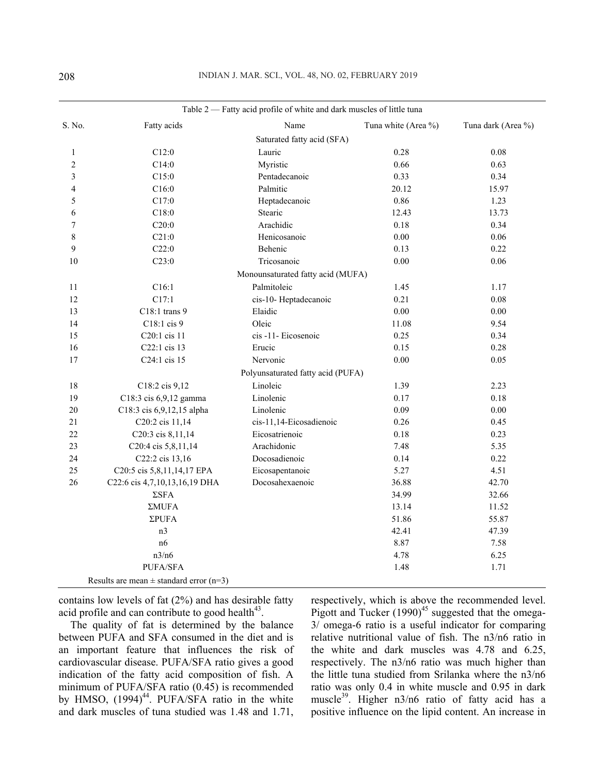| Table 2 — Fatty acid profile of white and dark muscles of little tuna |                                             |                                   |                     |                    |  |
|-----------------------------------------------------------------------|---------------------------------------------|-----------------------------------|---------------------|--------------------|--|
| S. No.                                                                | Fatty acids                                 | Name                              | Tuna white (Area %) | Tuna dark (Area %) |  |
|                                                                       |                                             | Saturated fatty acid (SFA)        |                     |                    |  |
| 1                                                                     | C12:0                                       | Lauric                            | 0.28                | 0.08               |  |
| $\overline{c}$                                                        | C14:0                                       | Myristic                          | 0.66                | 0.63               |  |
| 3                                                                     | C15:0                                       | Pentadecanoic                     | 0.33                | 0.34               |  |
| 4                                                                     | C16:0                                       | Palmitic                          | 20.12               | 15.97              |  |
| 5                                                                     | C17:0                                       | Heptadecanoic                     | 0.86                | 1.23               |  |
| 6                                                                     | C18:0                                       | Stearic                           | 12.43               | 13.73              |  |
| 7                                                                     | C20:0                                       | Arachidic                         | 0.18                | 0.34               |  |
| 8                                                                     | C21:0                                       | Henicosanoic                      | 0.00                | 0.06               |  |
| 9                                                                     | C22:0                                       | Behenic                           | 0.13                | 0.22               |  |
| 10                                                                    | C23:0                                       | Tricosanoic                       | 0.00                | 0.06               |  |
|                                                                       |                                             | Monounsaturated fatty acid (MUFA) |                     |                    |  |
| 11                                                                    | C16:1                                       | Palmitoleic                       | 1.45                | 1.17               |  |
| 12                                                                    | C17:1                                       | cis-10- Heptadecanoic             | 0.21                | 0.08               |  |
| 13                                                                    | C18:1 trans 9                               | Elaidic                           | 0.00                | $0.00\,$           |  |
| 14                                                                    | C18:1 cis 9                                 | Oleic                             | 11.08               | 9.54               |  |
| 15                                                                    | C20:1 cis 11                                | cis-11-Eicosenoic                 | 0.25                | 0.34               |  |
| 16                                                                    | C22:1 cis 13                                | Erucic                            | 0.15                | 0.28               |  |
| $17\,$                                                                | C <sub>24</sub> :1 cis 15                   | Nervonic                          | 0.00                | 0.05               |  |
|                                                                       |                                             | Polyunsaturated fatty acid (PUFA) |                     |                    |  |
| 18                                                                    | C18:2 cis 9,12                              | Linoleic                          | 1.39                | 2.23               |  |
| 19                                                                    | C18:3 cis 6,9,12 gamma                      | Linolenic                         | 0.17                | 0.18               |  |
| $20\,$                                                                | C18:3 cis 6,9,12,15 alpha                   | Linolenic                         | 0.09                | 0.00               |  |
| 21                                                                    | C20:2 cis 11,14                             | cis-11,14-Eicosadienoic           | 0.26                | 0.45               |  |
| 22                                                                    | C20:3 cis 8,11,14                           | Eicosatrienoic                    | 0.18                | 0.23               |  |
| 23                                                                    | C <sub>20</sub> :4 cis 5,8,11,14            | Arachidonic                       | 7.48                | 5.35               |  |
| 24                                                                    | C22:2 cis 13,16                             | Docosadienoic                     | 0.14                | 0.22               |  |
| 25                                                                    | C20:5 cis 5,8,11,14,17 EPA                  | Eicosapentanoic                   | 5.27                | 4.51               |  |
| 26                                                                    | C22:6 cis 4,7,10,13,16,19 DHA               | Docosahexaenoic                   | 36.88               | 42.70              |  |
|                                                                       | $\Sigma$ SFA                                |                                   | 34.99               | 32.66              |  |
|                                                                       | $\Sigma MUFA$                               |                                   | 13.14               | 11.52              |  |
|                                                                       | $\Sigma$ PUFA                               |                                   | 51.86               | 55.87              |  |
|                                                                       | n <sub>3</sub>                              |                                   | 42.41               | 47.39              |  |
|                                                                       | n6                                          |                                   | 8.87                | 7.58               |  |
|                                                                       | n3/n6                                       |                                   | 4.78                | 6.25               |  |
|                                                                       | PUFA/SFA                                    |                                   | 1.48                | 1.71               |  |
|                                                                       | Results are mean $\pm$ standard error (n=3) |                                   |                     |                    |  |

contains low levels of fat (2%) and has desirable fatty acid profile and can contribute to good health $43$ .

The quality of fat is determined by the balance between PUFA and SFA consumed in the diet and is an important feature that influences the risk of cardiovascular disease. PUFA/SFA ratio gives a good indication of the fatty acid composition of fish. A minimum of PUFA/SFA ratio (0.45) is recommended by HMSO,  $(1994)^{44}$ . PUFA/SFA ratio in the white and dark muscles of tuna studied was 1.48 and 1.71, respectively, which is above the recommended level. Pigott and Tucker  $(1990)^{45}$  suggested that the omega-3/ omega-6 ratio is a useful indicator for comparing relative nutritional value of fish. The n3/n6 ratio in the white and dark muscles was 4.78 and 6.25, respectively. The n3/n6 ratio was much higher than the little tuna studied from Srilanka where the n3/n6 ratio was only 0.4 in white muscle and 0.95 in dark muscle<sup>39</sup>. Higher n3/n6 ratio of fatty acid has a positive influence on the lipid content. An increase in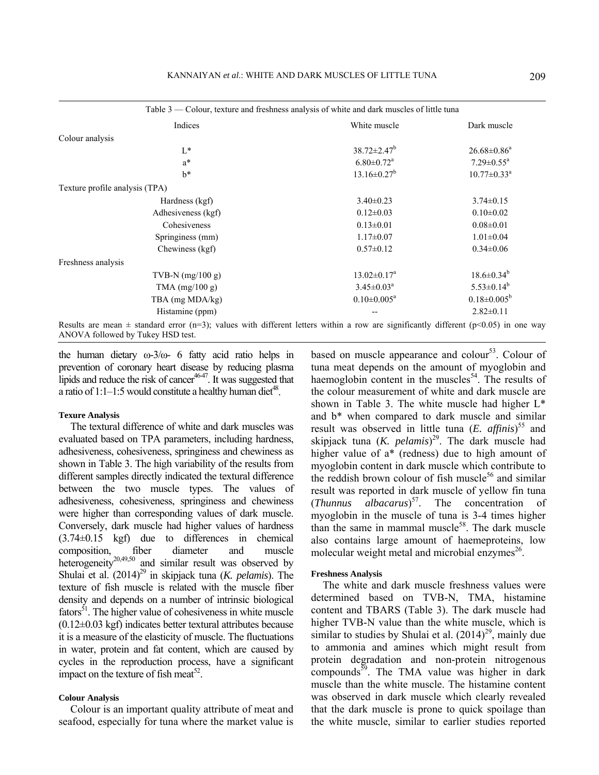| Table 3 — Colour, texture and freshness analysis of white and dark muscles of little tuna                                               |                              |                               |
|-----------------------------------------------------------------------------------------------------------------------------------------|------------------------------|-------------------------------|
| Indices                                                                                                                                 | White muscle                 | Dark muscle                   |
| Colour analysis                                                                                                                         |                              |                               |
| $L^*$                                                                                                                                   | $38.72 \pm 2.47^b$           | $26.68 \pm 0.86^a$            |
| $a^*$                                                                                                                                   | $6.80 \pm 0.72$ <sup>a</sup> | $7.29 \pm 0.55^{\text{a}}$    |
| $h^*$                                                                                                                                   | $13.16 \pm 0.27^b$           | $10.77 \pm 0.33$ <sup>a</sup> |
| Texture profile analysis (TPA)                                                                                                          |                              |                               |
| Hardness (kgf)                                                                                                                          | $3.40 \pm 0.23$              | $3.74 \pm 0.15$               |
| Adhesiveness (kgf)                                                                                                                      | $0.12 \pm 0.03$              | $0.10 \pm 0.02$               |
| Cohesiveness                                                                                                                            | $0.13 \pm 0.01$              | $0.08 \pm 0.01$               |
| Springiness (mm)                                                                                                                        | $1.17 \pm 0.07$              | $1.01 \pm 0.04$               |
| Chewiness (kgf)                                                                                                                         | $0.57 \pm 0.12$              | $0.34 \pm 0.06$               |
| Freshness analysis                                                                                                                      |                              |                               |
| TVB-N $(mg/100 g)$                                                                                                                      | $13.02 \pm 0.17^a$           | $18.6 \pm 0.34^b$             |
| TMA $(mg/100 g)$                                                                                                                        | $3.45 \pm 0.03^a$            | $5.53 \pm 0.14^b$             |
| TBA (mg MDA/kg)                                                                                                                         | $0.10 \pm 0.005^a$           | $0.18 \pm 0.005^b$            |
| Histamine (ppm)                                                                                                                         |                              | $2.82 \pm 0.11$               |
| Results are mean $\pm$ standard error (n=3); values with different letters within a row are significantly different (p<0.05) in one way |                              |                               |

the human dietary ω-3/ω- 6 fatty acid ratio helps in prevention of coronary heart disease by reducing plasma lipids and reduce the risk of cancer<sup>46-47</sup>. It was suggested that a ratio of  $1:1-1:5$  would constitute a healthy human diet<sup>48</sup>.

### **Texure Analysis**

ANOVA followed by Tukey HSD test.

The textural difference of white and dark muscles was evaluated based on TPA parameters, including hardness, adhesiveness, cohesiveness, springiness and chewiness as shown in Table 3. The high variability of the results from different samples directly indicated the textural difference between the two muscle types. The values of adhesiveness, cohesiveness, springiness and chewiness were higher than corresponding values of dark muscle. Conversely, dark muscle had higher values of hardness (3.74±0.15 kgf) due to differences in chemical composition, fiber diameter and muscle heterogeneity<sup>20,49,50</sup> and similar result was observed by Shulai et al. (2014)<sup>29</sup> in skipjack tuna (*K. pelamis*). The texture of fish muscle is related with the muscle fiber density and depends on a number of intrinsic biological  $fators<sup>51</sup>$ . The higher value of cohesiveness in white muscle  $(0.12\pm0.03 \text{ kgf})$  indicates better textural attributes because it is a measure of the elasticity of muscle. The fluctuations in water, protein and fat content, which are caused by cycles in the reproduction process, have a significant impact on the texture of fish meat<sup>52</sup>.

### **Colour Analysis**

Colour is an important quality attribute of meat and seafood, especially for tuna where the market value is

based on muscle appearance and colour<sup>53</sup>. Colour of tuna meat depends on the amount of myoglobin and haemoglobin content in the muscles<sup>54</sup>. The results of the colour measurement of white and dark muscle are shown in Table 3. The white muscle had higher L\* and b\* when compared to dark muscle and similar result was observed in little tuna (*E. affinis*) 55 and skipjack tuna (*K. pelamis*) 29. The dark muscle had higher value of  $a^*$  (redness) due to high amount of myoglobin content in dark muscle which contribute to the reddish brown colour of fish muscle $56$  and similar result was reported in dark muscle of yellow fin tuna (*Thunnus albacarus*) 57. The concentration of myoglobin in the muscle of tuna is 3-4 times higher than the same in mammal muscle $58$ . The dark muscle also contains large amount of haemeproteins, low molecular weight metal and microbial enzymes $26$ .

#### **Freshness Analysis**

The white and dark muscle freshness values were determined based on TVB-N, TMA, histamine content and TBARS (Table 3). The dark muscle had higher TVB-N value than the white muscle, which is similar to studies by Shulai et al.  $(2014)^{29}$ , mainly due to ammonia and amines which might result from protein degradation and non-protein nitrogenous compounds<sup>59</sup>. The TMA value was higher in dark muscle than the white muscle. The histamine content was observed in dark muscle which clearly revealed that the dark muscle is prone to quick spoilage than the white muscle, similar to earlier studies reported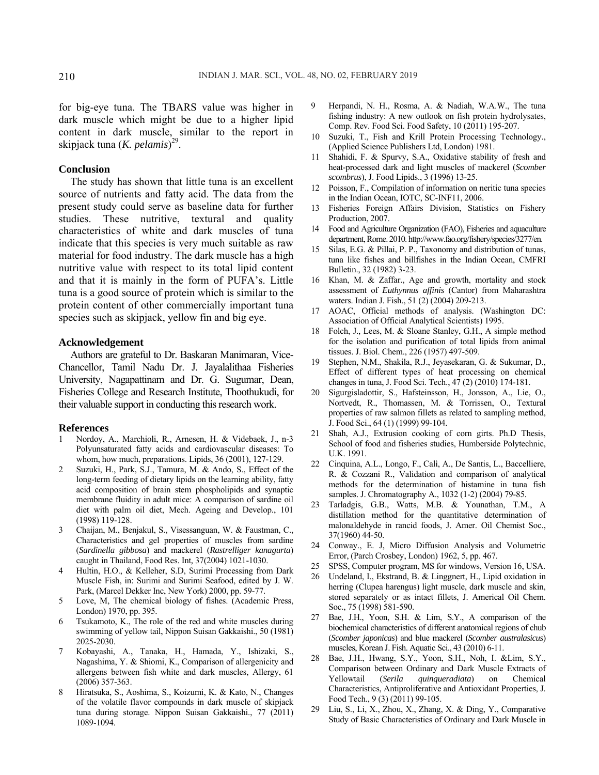for big-eye tuna. The TBARS value was higher in dark muscle which might be due to a higher lipid content in dark muscle, similar to the report in skipjack tuna (*K. pelamis*) 29.

## **Conclusion**

The study has shown that little tuna is an excellent source of nutrients and fatty acid. The data from the present study could serve as baseline data for further studies. These nutritive, textural and quality characteristics of white and dark muscles of tuna indicate that this species is very much suitable as raw material for food industry. The dark muscle has a high nutritive value with respect to its total lipid content and that it is mainly in the form of PUFA's. Little tuna is a good source of protein which is similar to the protein content of other commercially important tuna species such as skipjack, yellow fin and big eye.

# **Acknowledgement**

Authors are grateful to Dr. Baskaran Manimaran, Vice-Chancellor, Tamil Nadu Dr. J. Jayalalithaa Fisheries University, Nagapattinam and Dr. G. Sugumar, Dean, Fisheries College and Research Institute, Thoothukudi, for their valuable support in conducting this research work.

### **References**

- 1 Nordoy, A., Marchioli, R., Arnesen, H. & Videbaek, J., n-3 Polyunsaturated fatty acids and cardiovascular diseases: To whom, how much, preparations. Lipids, 36 (2001), 127-129.
- 2 Suzuki, H., Park, S.J., Tamura, M. & Ando, S., Effect of the long-term feeding of dietary lipids on the learning ability, fatty acid composition of brain stem phospholipids and synaptic membrane fluidity in adult mice: A comparison of sardine oil diet with palm oil diet, Mech. Ageing and Develop., 101 (1998) 119-128.
- 3 Chaijan, M., Benjakul, S., Visessanguan, W. & Faustman, C., Characteristics and gel properties of muscles from sardine (*Sardinella gibbosa*) and mackerel (*Rastrelliger kanagurta*) caught in Thailand, Food Res. Int*,* 37(2004) 1021-1030.
- 4 Hultin, H.O., & Kelleher, S.D, Surimi Processing from Dark Muscle Fish, in: Surimi and Surimi Seafood, edited by J. W. Park, (Marcel Dekker Inc, New York) 2000, pp. 59-77.
- 5 Love, M, The chemical biology of fishes. (Academic Press, London) 1970, pp. 395.
- 6 Tsukamoto, K., The role of the red and white muscles during swimming of yellow tail, Nippon Suisan Gakkaishi., 50 (1981) 2025-2030.
- 7 Kobayashi, A., Tanaka, H., Hamada, Y., Ishizaki, S., Nagashima, Y. & Shiomi, K., Comparison of allergenicity and allergens between fish white and dark muscles, Allergy, 61 (2006) 357-363.
- 8 Hiratsuka, S., Aoshima, S., Koizumi, K. & Kato, N., Changes of the volatile flavor compounds in dark muscle of skipjack tuna during storage. Nippon Suisan Gakkaishi., 77 (2011) 1089-1094.
- 9 Herpandi, N. H., Rosma, A. & Nadiah, W.A.W., The tuna fishing industry: A new outlook on fish protein hydrolysates, Comp. Rev. Food Sci. Food Safety, 10 (2011) 195-207.
- 10 Suzuki, T., Fish and Krill Protein Processing Technology., (Applied Science Publishers Ltd, London) 1981.
- 11 Shahidi, F. & Spurvy, S.A., Oxidative stability of fresh and heat-processed dark and light muscles of mackerel (*Scomber scombrus*), J. Food Lipids., 3 (1996) 13-25.
- 12 Poisson, F., Compilation of information on neritic tuna species in the Indian Ocean, IOTC, SC-INF11, 2006.
- 13 Fisheries Foreign Affairs Division, Statistics on Fishery Production, 2007.
- 14 Food and Agriculture Organization (FAO), Fisheries and aquaculture department, Rome. 2010. http://www.fao.org/fishery/species/3277/en.
- 15 Silas, E.G. & Pillai, P. P., Taxonomy and distribution of tunas, tuna like fishes and billfishes in the Indian Ocean, CMFRI Bulletin., 32 (1982) 3-23.
- 16 Khan, M. & Zaffar., Age and growth, mortality and stock assessment of *Euthynnus affinis* (Cantor) from Maharashtra waters. Indian J. Fish., 51 (2) (2004) 209-213.
- 17 AOAC, Official methods of analysis. (Washington DC: Association of Official Analytical Scientists) 1995.
- 18 Folch, J., Lees, M. & Sloane Stanley, G.H., A simple method for the isolation and purification of total lipids from animal tissues. J. Biol. Chem., 226 (1957) 497-509.
- 19 Stephen, N.M., Shakila, R.J., Jeyasekaran, G. & Sukumar, D., Effect of different types of heat processing on chemical changes in tuna, J. Food Sci. Tech., 47 (2) (2010) 174-181.
- 20 Sigurgisladottir, S., Hafsteinsson, H., Jonsson, A., Lie, O., Nortvedt, R., Thomassen, M. & Torrissen, O., Textural properties of raw salmon fillets as related to sampling method, J. Food Sci., 64 (1) (1999) 99-104.
- 21 Shah, A.J., Extrusion cooking of corn girts. Ph.D Thesis, School of food and fisheries studies, Humberside Polytechnic, U.K. 1991.
- 22 Cinquina, A.L., Longo, F., Calì, A., De Santis, L., Baccelliere, R. & Cozzani R., Validation and comparison of analytical methods for the determination of histamine in tuna fish samples. J. Chromatography A., 1032 (1-2) (2004) 79-85.
- 23 Tarladgis, G.B., Watts, M.B. & Younathan, T.M., A distillation method for the quantitative determination of malonaldehyde in rancid foods, J. Amer. Oil Chemist Soc., 37(1960) 44-50.
- 24 Conway., E. J, Micro Diffusion Analysis and Volumetric Error, (Parch Crosbey, London) 1962, 5, pp. 467.
- 25 SPSS, Computer program, MS for windows, Version 16, USA.
- 26 Undeland, I., Ekstrand, B. & Linggnert, H., Lipid oxidation in herring (Clupea harengus) light muscle, dark muscle and skin, stored separately or as intact fillets, J. Americal Oil Chem. Soc., 75 (1998) 581-590.
- 27 Bae, J.H., Yoon, S.H. & Lim, S.Y., A comparison of the biochemical characteristics of different anatomical regions of chub (*Scomber japonicas*) and blue mackerel (*Scomber australasicus*) muscles, Korean J. Fish. Aquatic Sci., 43 (2010) 6-11.
- 28 Bae, J.H., Hwang, S.Y., Yoon, S.H., Noh, I. &Lim, S.Y., Comparison between Ordinary and Dark Muscle Extracts of Yellowtail (*Serila quinqueradiata*) on Chemical Characteristics, Antiproliferative and Antioxidant Properties, J. Food Tech., 9 (3) (2011) 99-105.
- 29 Liu, S., Li, X., Zhou, X., Zhang, X. & Ding, Y., Comparative Study of Basic Characteristics of Ordinary and Dark Muscle in